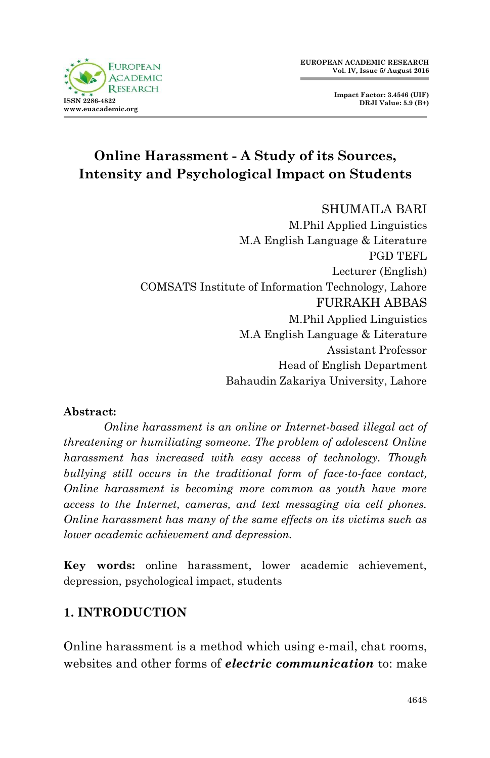



# **Online Harassment - A Study of its Sources, Intensity and Psychological Impact on Students**

SHUMAILA BARI M.Phil Applied Linguistics M.A English Language & Literature PGD TEFL Lecturer (English) COMSATS Institute of Information Technology, Lahore FURRAKH ABBAS M.Phil Applied Linguistics M.A English Language & Literature Assistant Professor Head of English Department Bahaudin Zakariya University, Lahore

#### **Abstract:**

*Online harassment is an online or Internet-based illegal act of threatening or humiliating someone. The problem of adolescent Online harassment has increased with easy access of technology. Though bullying still occurs in the traditional form of face-to-face contact, Online harassment is becoming more common as youth have more access to the Internet, cameras, and text messaging via cell phones. Online harassment has many of the same effects on its victims such as lower academic achievement and depression.*

**Key words:** online harassment, lower academic achievement, depression, psychological impact, students

## **1. INTRODUCTION**

Online harassment is a method which using e-mail, chat rooms, websites and other forms of *electric communication* to: make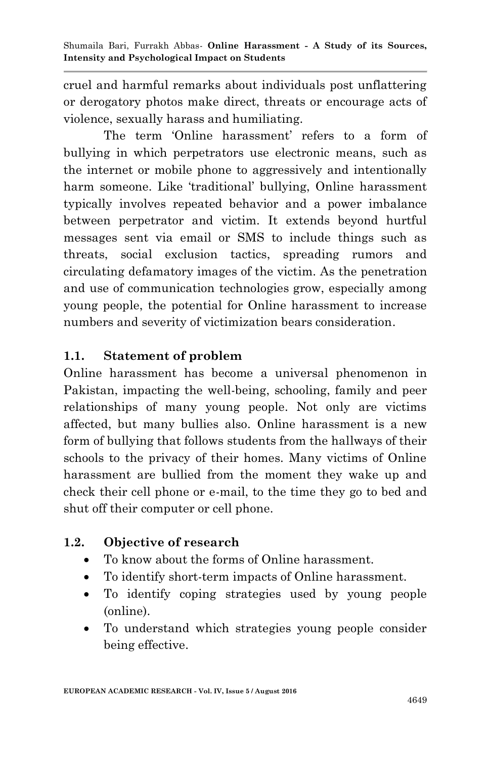cruel and harmful remarks about individuals post unflattering or derogatory photos make direct, threats or encourage acts of violence, sexually harass and humiliating.

The term 'Online harassment' refers to a form of bullying in which perpetrators use electronic means, such as the internet or mobile phone to aggressively and intentionally harm someone. Like 'traditional' bullying, Online harassment typically involves repeated behavior and a power imbalance between perpetrator and victim. It extends beyond hurtful messages sent via email or SMS to include things such as threats, social exclusion tactics, spreading rumors and circulating defamatory images of the victim. As the penetration and use of communication technologies grow, especially among young people, the potential for Online harassment to increase numbers and severity of victimization bears consideration.

# **1.1. Statement of problem**

Online harassment has become a universal phenomenon in Pakistan, impacting the well-being, schooling, family and peer relationships of many young people. Not only are victims affected, but many bullies also. Online harassment is a new form of bullying that follows students from the hallways of their schools to the privacy of their homes. Many victims of Online harassment are bullied from the moment they wake up and check their cell phone or e-mail, to the time they go to bed and shut off their computer or cell phone.

# **1.2. Objective of research**

- To know about the forms of Online harassment.
- To identify short-term impacts of Online harassment.
- To identify coping strategies used by young people (online).
- To understand which strategies young people consider being effective.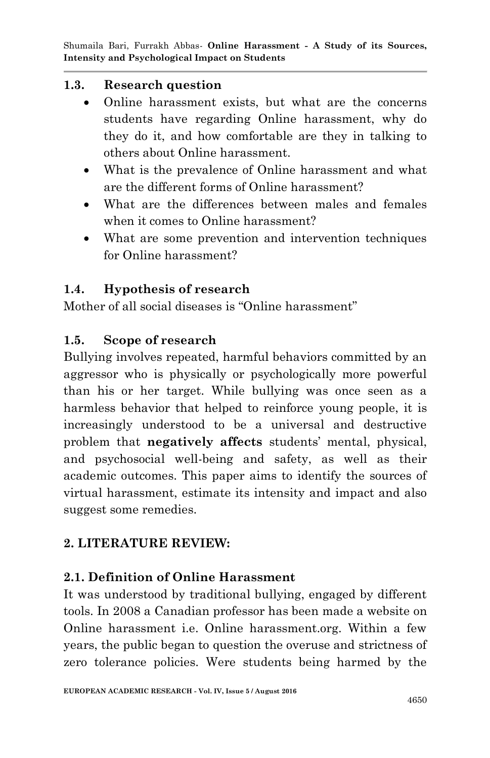### **1.3. Research question**

- Online harassment exists, but what are the concerns students have regarding Online harassment, why do they do it, and how comfortable are they in talking to others about Online harassment.
- What is the prevalence of Online harassment and what are the different forms of Online harassment?
- What are the differences between males and females when it comes to Online harassment?
- What are some prevention and intervention techniques for Online harassment?

## **1.4. Hypothesis of research**

Mother of all social diseases is "Online harassment"

## **1.5. Scope of research**

Bullying involves repeated, harmful behaviors committed by an aggressor who is physically or psychologically more powerful than his or her target. While bullying was once seen as a harmless behavior that helped to reinforce young people, it is increasingly understood to be a universal and destructive problem that **negatively affects** students" mental, physical, and psychosocial well-being and safety, as well as their academic outcomes. This paper aims to identify the sources of virtual harassment, estimate its intensity and impact and also suggest some remedies.

# **2. LITERATURE REVIEW:**

## **2.1. Definition of Online Harassment**

It was understood by traditional bullying, engaged by different tools. In 2008 a Canadian professor has been made a website on Online harassment i.e. Online harassment.org. Within a few years, the public began to question the overuse and strictness of zero tolerance policies. Were students being harmed by the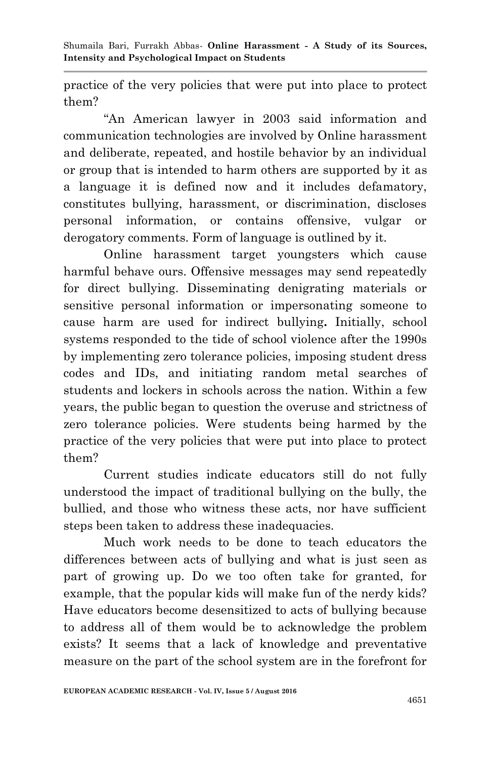practice of the very policies that were put into place to protect them?

"An American lawyer in 2003 said information and communication technologies are involved by Online harassment and deliberate, repeated, and hostile behavior by an individual or group that is intended to harm others are supported by it as a language it is defined now and it includes defamatory, constitutes bullying, harassment, or discrimination, discloses personal information, or contains offensive, vulgar or derogatory comments. Form of language is outlined by it.

Online harassment target youngsters which cause harmful behave ours. Offensive messages may send repeatedly for direct bullying. Disseminating denigrating materials or sensitive personal information or impersonating someone to cause harm are used for indirect bullying**.** Initially, school systems responded to the tide of school violence after the 1990s by implementing zero tolerance policies, imposing student dress codes and IDs, and initiating random metal searches of students and lockers in schools across the nation. Within a few years, the public began to question the overuse and strictness of zero tolerance policies. Were students being harmed by the practice of the very policies that were put into place to protect them?

Current studies indicate educators still do not fully understood the impact of traditional bullying on the bully, the bullied, and those who witness these acts, nor have sufficient steps been taken to address these inadequacies.

Much work needs to be done to teach educators the differences between acts of bullying and what is just seen as part of growing up. Do we too often take for granted, for example, that the popular kids will make fun of the nerdy kids? Have educators become desensitized to acts of bullying because to address all of them would be to acknowledge the problem exists? It seems that a lack of knowledge and preventative measure on the part of the school system are in the forefront for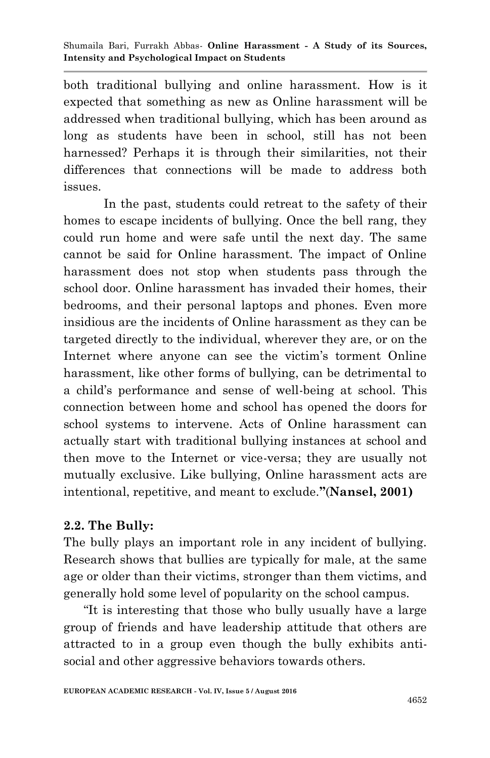both traditional bullying and online harassment. How is it expected that something as new as Online harassment will be addressed when traditional bullying, which has been around as long as students have been in school, still has not been harnessed? Perhaps it is through their similarities, not their differences that connections will be made to address both issues.

In the past, students could retreat to the safety of their homes to escape incidents of bullying. Once the bell rang, they could run home and were safe until the next day. The same cannot be said for Online harassment. The impact of Online harassment does not stop when students pass through the school door. Online harassment has invaded their homes, their bedrooms, and their personal laptops and phones. Even more insidious are the incidents of Online harassment as they can be targeted directly to the individual, wherever they are, or on the Internet where anyone can see the victim's torment Online harassment, like other forms of bullying, can be detrimental to a child"s performance and sense of well-being at school. This connection between home and school has opened the doors for school systems to intervene. Acts of Online harassment can actually start with traditional bullying instances at school and then move to the Internet or vice-versa; they are usually not mutually exclusive. Like bullying, Online harassment acts are intentional, repetitive, and meant to exclude.**"**(**Nansel, 2001)**

# **2.2. The Bully:**

The bully plays an important role in any incident of bullying. Research shows that bullies are typically for male, at the same age or older than their victims, stronger than them victims, and generally hold some level of popularity on the school campus.

"It is interesting that those who bully usually have a large group of friends and have leadership attitude that others are attracted to in a group even though the bully exhibits antisocial and other aggressive behaviors towards others.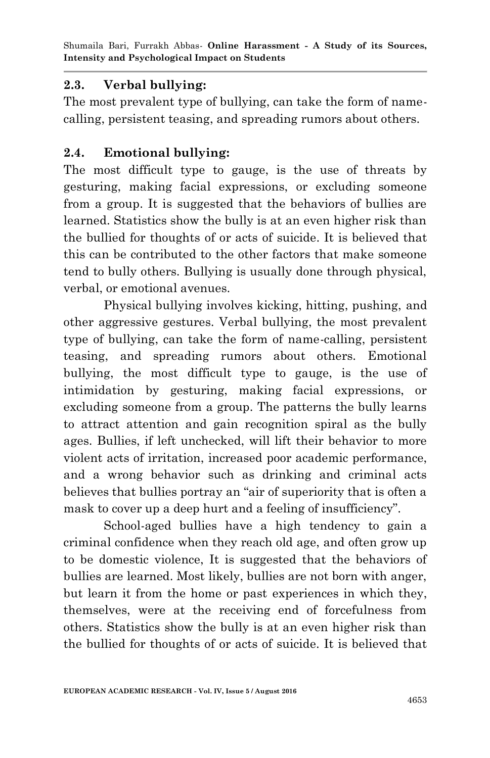## **2.3. Verbal bullying:**

The most prevalent type of bullying, can take the form of namecalling, persistent teasing, and spreading rumors about others.

### **2.4. Emotional bullying:**

The most difficult type to gauge, is the use of threats by gesturing, making facial expressions, or excluding someone from a group. It is suggested that the behaviors of bullies are learned. Statistics show the bully is at an even higher risk than the bullied for thoughts of or acts of suicide. It is believed that this can be contributed to the other factors that make someone tend to bully others. Bullying is usually done through physical, verbal, or emotional avenues.

Physical bullying involves kicking, hitting, pushing, and other aggressive gestures. Verbal bullying, the most prevalent type of bullying, can take the form of name-calling, persistent teasing, and spreading rumors about others. Emotional bullying, the most difficult type to gauge, is the use of intimidation by gesturing, making facial expressions, or excluding someone from a group. The patterns the bully learns to attract attention and gain recognition spiral as the bully ages. Bullies, if left unchecked, will lift their behavior to more violent acts of irritation, increased poor academic performance, and a wrong behavior such as drinking and criminal acts believes that bullies portray an "air of superiority that is often a mask to cover up a deep hurt and a feeling of insufficiency".

School-aged bullies have a high tendency to gain a criminal confidence when they reach old age, and often grow up to be domestic violence, It is suggested that the behaviors of bullies are learned. Most likely, bullies are not born with anger, but learn it from the home or past experiences in which they, themselves, were at the receiving end of forcefulness from others. Statistics show the bully is at an even higher risk than the bullied for thoughts of or acts of suicide. It is believed that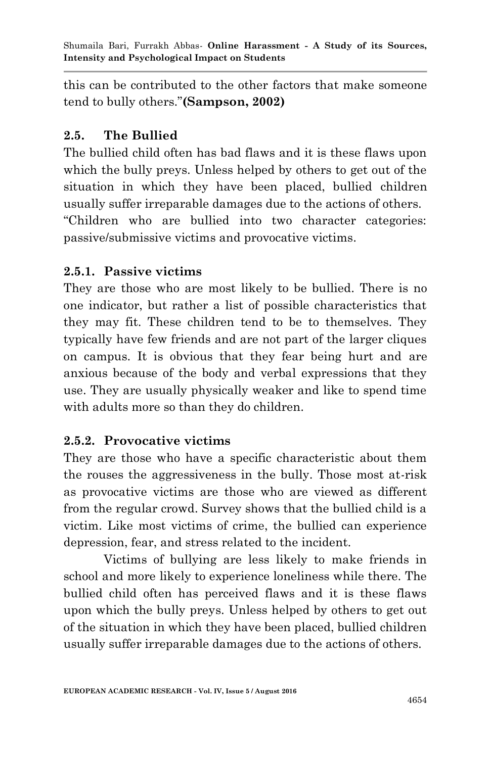this can be contributed to the other factors that make someone tend to bully others."**(Sampson, 2002)**

## **2.5. The Bullied**

The bullied child often has bad flaws and it is these flaws upon which the bully preys. Unless helped by others to get out of the situation in which they have been placed, bullied children usually suffer irreparable damages due to the actions of others. "Children who are bullied into two character categories: passive/submissive victims and provocative victims.

## **2.5.1. Passive victims**

They are those who are most likely to be bullied. There is no one indicator, but rather a list of possible characteristics that they may fit. These children tend to be to themselves. They typically have few friends and are not part of the larger cliques on campus. It is obvious that they fear being hurt and are anxious because of the body and verbal expressions that they use. They are usually physically weaker and like to spend time with adults more so than they do children.

## **2.5.2. Provocative victims**

They are those who have a specific characteristic about them the rouses the aggressiveness in the bully. Those most at-risk as provocative victims are those who are viewed as different from the regular crowd. Survey shows that the bullied child is a victim. Like most victims of crime, the bullied can experience depression, fear, and stress related to the incident.

Victims of bullying are less likely to make friends in school and more likely to experience loneliness while there. The bullied child often has perceived flaws and it is these flaws upon which the bully preys. Unless helped by others to get out of the situation in which they have been placed, bullied children usually suffer irreparable damages due to the actions of others.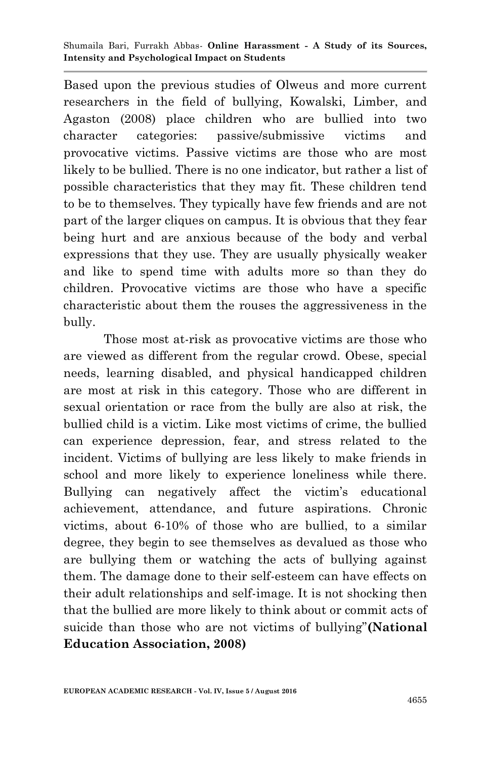Based upon the previous studies of Olweus and more current researchers in the field of bullying, Kowalski, Limber, and Agaston (2008) place children who are bullied into two character categories: passive/submissive victims and provocative victims. Passive victims are those who are most likely to be bullied. There is no one indicator, but rather a list of possible characteristics that they may fit. These children tend to be to themselves. They typically have few friends and are not part of the larger cliques on campus. It is obvious that they fear being hurt and are anxious because of the body and verbal expressions that they use. They are usually physically weaker and like to spend time with adults more so than they do children. Provocative victims are those who have a specific characteristic about them the rouses the aggressiveness in the bully.

Those most at-risk as provocative victims are those who are viewed as different from the regular crowd. Obese, special needs, learning disabled, and physical handicapped children are most at risk in this category. Those who are different in sexual orientation or race from the bully are also at risk, the bullied child is a victim. Like most victims of crime, the bullied can experience depression, fear, and stress related to the incident. Victims of bullying are less likely to make friends in school and more likely to experience loneliness while there. Bullying can negatively affect the victim's educational achievement, attendance, and future aspirations. Chronic victims, about 6-10% of those who are bullied, to a similar degree, they begin to see themselves as devalued as those who are bullying them or watching the acts of bullying against them. The damage done to their self-esteem can have effects on their adult relationships and self-image. It is not shocking then that the bullied are more likely to think about or commit acts of suicide than those who are not victims of bullying"**(National Education Association, 2008)**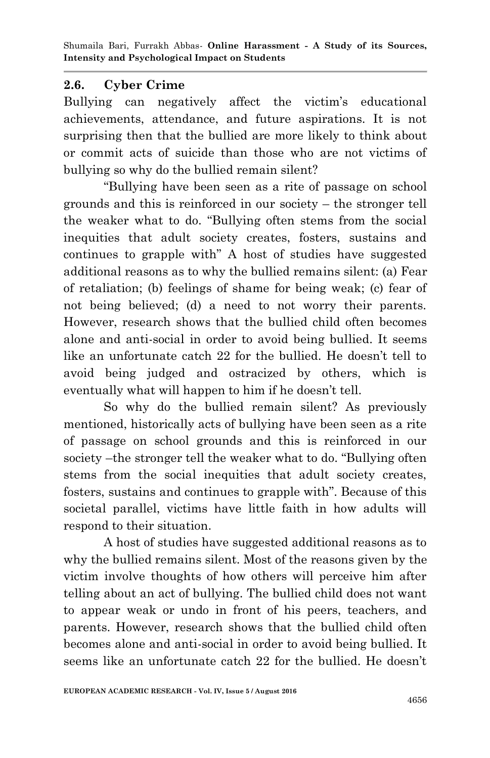## **2.6. Cyber Crime**

Bullying can negatively affect the victim's educational achievements, attendance, and future aspirations. It is not surprising then that the bullied are more likely to think about or commit acts of suicide than those who are not victims of bullying so why do the bullied remain silent?

"Bullying have been seen as a rite of passage on school grounds and this is reinforced in our society – the stronger tell the weaker what to do. "Bullying often stems from the social inequities that adult society creates, fosters, sustains and continues to grapple with" A host of studies have suggested additional reasons as to why the bullied remains silent: (a) Fear of retaliation; (b) feelings of shame for being weak; (c) fear of not being believed; (d) a need to not worry their parents. However, research shows that the bullied child often becomes alone and anti-social in order to avoid being bullied. It seems like an unfortunate catch 22 for the bullied. He doesn't tell to avoid being judged and ostracized by others, which is eventually what will happen to him if he doesn't tell.

So why do the bullied remain silent? As previously mentioned, historically acts of bullying have been seen as a rite of passage on school grounds and this is reinforced in our society –the stronger tell the weaker what to do. "Bullying often stems from the social inequities that adult society creates, fosters, sustains and continues to grapple with". Because of this societal parallel, victims have little faith in how adults will respond to their situation.

A host of studies have suggested additional reasons as to why the bullied remains silent. Most of the reasons given by the victim involve thoughts of how others will perceive him after telling about an act of bullying. The bullied child does not want to appear weak or undo in front of his peers, teachers, and parents. However, research shows that the bullied child often becomes alone and anti-social in order to avoid being bullied. It seems like an unfortunate catch 22 for the bullied. He doesn't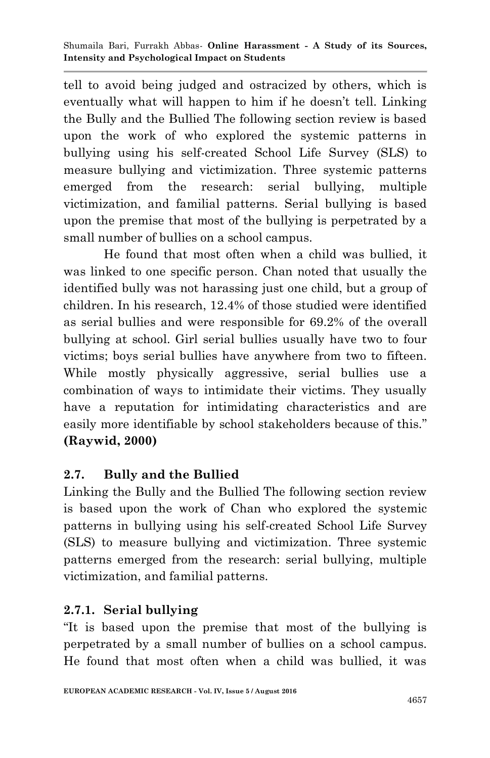tell to avoid being judged and ostracized by others, which is eventually what will happen to him if he doesn't tell. Linking the Bully and the Bullied The following section review is based upon the work of who explored the systemic patterns in bullying using his self-created School Life Survey (SLS) to measure bullying and victimization. Three systemic patterns emerged from the research: serial bullying, multiple victimization, and familial patterns. Serial bullying is based upon the premise that most of the bullying is perpetrated by a small number of bullies on a school campus.

He found that most often when a child was bullied, it was linked to one specific person. Chan noted that usually the identified bully was not harassing just one child, but a group of children. In his research, 12.4% of those studied were identified as serial bullies and were responsible for 69.2% of the overall bullying at school. Girl serial bullies usually have two to four victims; boys serial bullies have anywhere from two to fifteen. While mostly physically aggressive, serial bullies use a combination of ways to intimidate their victims. They usually have a reputation for intimidating characteristics and are easily more identifiable by school stakeholders because of this." **(Raywid, 2000)**

# **2.7. Bully and the Bullied**

Linking the Bully and the Bullied The following section review is based upon the work of Chan who explored the systemic patterns in bullying using his self-created School Life Survey (SLS) to measure bullying and victimization. Three systemic patterns emerged from the research: serial bullying, multiple victimization, and familial patterns.

# **2.7.1. Serial bullying**

"It is based upon the premise that most of the bullying is perpetrated by a small number of bullies on a school campus. He found that most often when a child was bullied, it was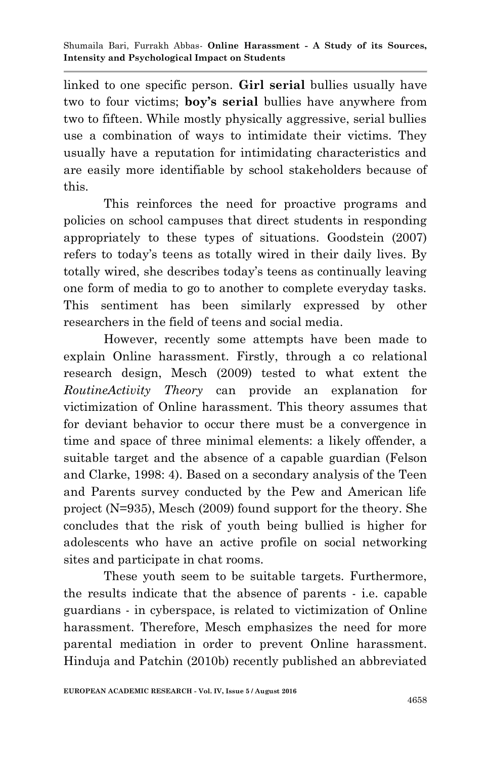linked to one specific person. **Girl serial** bullies usually have two to four victims; **boy's serial** bullies have anywhere from two to fifteen. While mostly physically aggressive, serial bullies use a combination of ways to intimidate their victims. They usually have a reputation for intimidating characteristics and are easily more identifiable by school stakeholders because of this.

This reinforces the need for proactive programs and policies on school campuses that direct students in responding appropriately to these types of situations. Goodstein (2007) refers to today's teens as totally wired in their daily lives. By totally wired, she describes today"s teens as continually leaving one form of media to go to another to complete everyday tasks. This sentiment has been similarly expressed by other researchers in the field of teens and social media.

However, recently some attempts have been made to explain Online harassment. Firstly, through a co relational research design, Mesch (2009) tested to what extent the *RoutineActivity Theory* can provide an explanation for victimization of Online harassment. This theory assumes that for deviant behavior to occur there must be a convergence in time and space of three minimal elements: a likely offender, a suitable target and the absence of a capable guardian (Felson and Clarke, 1998: 4). Based on a secondary analysis of the Teen and Parents survey conducted by the Pew and American life project (N=935), Mesch (2009) found support for the theory. She concludes that the risk of youth being bullied is higher for adolescents who have an active profile on social networking sites and participate in chat rooms.

These youth seem to be suitable targets. Furthermore, the results indicate that the absence of parents - i.e. capable guardians - in cyberspace, is related to victimization of Online harassment. Therefore, Mesch emphasizes the need for more parental mediation in order to prevent Online harassment. Hinduja and Patchin (2010b) recently published an abbreviated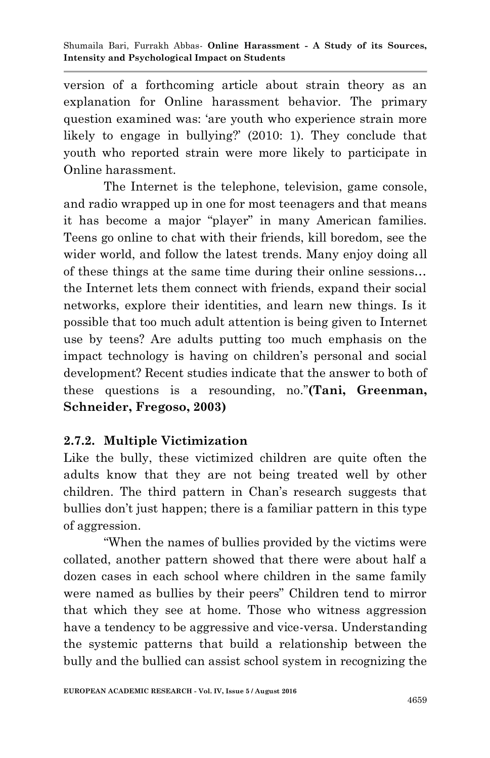version of a forthcoming article about strain theory as an explanation for Online harassment behavior. The primary question examined was: "are youth who experience strain more likely to engage in bullying?' (2010: 1). They conclude that youth who reported strain were more likely to participate in Online harassment.

The Internet is the telephone, television, game console, and radio wrapped up in one for most teenagers and that means it has become a major "player" in many American families. Teens go online to chat with their friends, kill boredom, see the wider world, and follow the latest trends. Many enjoy doing all of these things at the same time during their online sessions… the Internet lets them connect with friends, expand their social networks, explore their identities, and learn new things. Is it possible that too much adult attention is being given to Internet use by teens? Are adults putting too much emphasis on the impact technology is having on children"s personal and social development? Recent studies indicate that the answer to both of these questions is a resounding, no."**(Tani, Greenman, Schneider, Fregoso, 2003)**

# **2.7.2. Multiple Victimization**

Like the bully, these victimized children are quite often the adults know that they are not being treated well by other children. The third pattern in Chan"s research suggests that bullies don"t just happen; there is a familiar pattern in this type of aggression.

"When the names of bullies provided by the victims were collated, another pattern showed that there were about half a dozen cases in each school where children in the same family were named as bullies by their peers" Children tend to mirror that which they see at home. Those who witness aggression have a tendency to be aggressive and vice-versa. Understanding the systemic patterns that build a relationship between the bully and the bullied can assist school system in recognizing the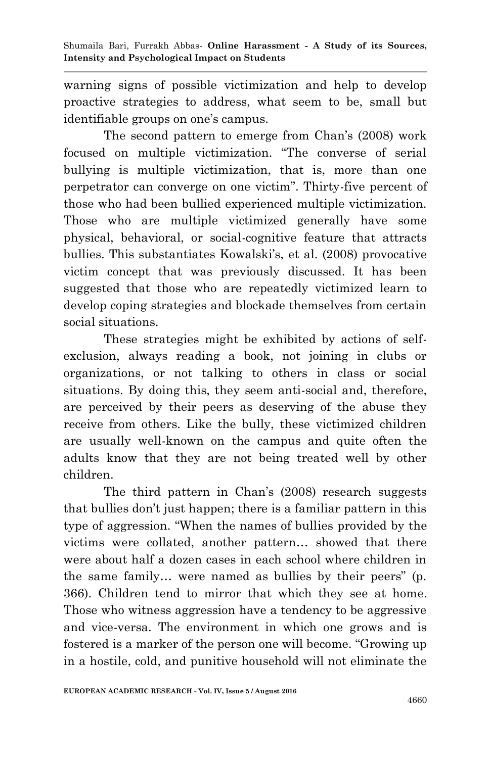warning signs of possible victimization and help to develop proactive strategies to address, what seem to be, small but identifiable groups on one's campus.

The second pattern to emerge from Chan's (2008) work focused on multiple victimization. "The converse of serial bullying is multiple victimization, that is, more than one perpetrator can converge on one victim". Thirty-five percent of those who had been bullied experienced multiple victimization. Those who are multiple victimized generally have some physical, behavioral, or social-cognitive feature that attracts bullies. This substantiates Kowalski"s, et al. (2008) provocative victim concept that was previously discussed. It has been suggested that those who are repeatedly victimized learn to develop coping strategies and blockade themselves from certain social situations.

These strategies might be exhibited by actions of selfexclusion, always reading a book, not joining in clubs or organizations, or not talking to others in class or social situations. By doing this, they seem anti-social and, therefore, are perceived by their peers as deserving of the abuse they receive from others. Like the bully, these victimized children are usually well-known on the campus and quite often the adults know that they are not being treated well by other children.

The third pattern in Chan"s (2008) research suggests that bullies don"t just happen; there is a familiar pattern in this type of aggression. "When the names of bullies provided by the victims were collated, another pattern… showed that there were about half a dozen cases in each school where children in the same family… were named as bullies by their peers" (p. 366). Children tend to mirror that which they see at home. Those who witness aggression have a tendency to be aggressive and vice-versa. The environment in which one grows and is fostered is a marker of the person one will become. "Growing up in a hostile, cold, and punitive household will not eliminate the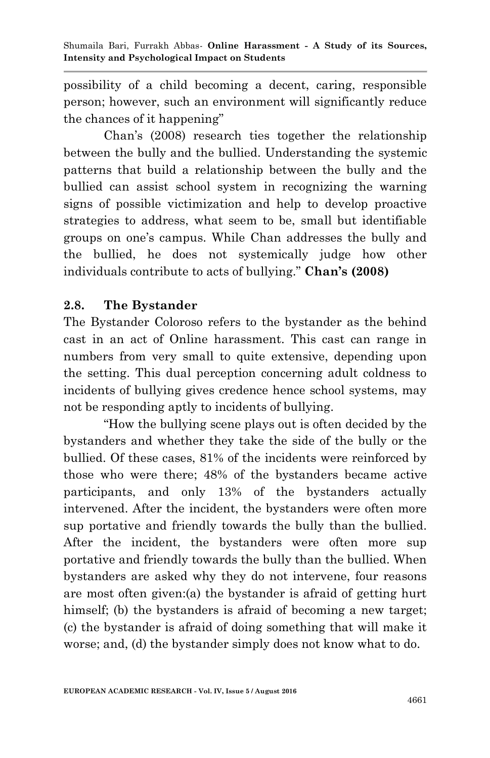possibility of a child becoming a decent, caring, responsible person; however, such an environment will significantly reduce the chances of it happening"

Chan"s (2008) research ties together the relationship between the bully and the bullied. Understanding the systemic patterns that build a relationship between the bully and the bullied can assist school system in recognizing the warning signs of possible victimization and help to develop proactive strategies to address, what seem to be, small but identifiable groups on one"s campus. While Chan addresses the bully and the bullied, he does not systemically judge how other individuals contribute to acts of bullying." **Chan's (2008)**

# **2.8. The Bystander**

The Bystander Coloroso refers to the bystander as the behind cast in an act of Online harassment. This cast can range in numbers from very small to quite extensive, depending upon the setting. This dual perception concerning adult coldness to incidents of bullying gives credence hence school systems, may not be responding aptly to incidents of bullying.

"How the bullying scene plays out is often decided by the bystanders and whether they take the side of the bully or the bullied. Of these cases, 81% of the incidents were reinforced by those who were there; 48% of the bystanders became active participants, and only 13% of the bystanders actually intervened. After the incident, the bystanders were often more sup portative and friendly towards the bully than the bullied. After the incident, the bystanders were often more sup portative and friendly towards the bully than the bullied. When bystanders are asked why they do not intervene, four reasons are most often given:(a) the bystander is afraid of getting hurt himself; (b) the bystanders is afraid of becoming a new target; (c) the bystander is afraid of doing something that will make it worse; and, (d) the bystander simply does not know what to do.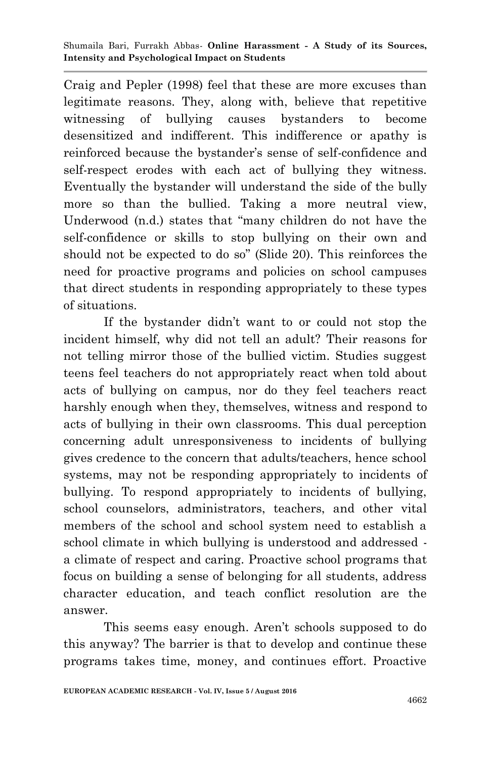Craig and Pepler (1998) feel that these are more excuses than legitimate reasons. They, along with, believe that repetitive witnessing of bullying causes bystanders to become desensitized and indifferent. This indifference or apathy is reinforced because the bystander"s sense of self-confidence and self-respect erodes with each act of bullying they witness. Eventually the bystander will understand the side of the bully more so than the bullied. Taking a more neutral view, Underwood (n.d.) states that "many children do not have the self-confidence or skills to stop bullying on their own and should not be expected to do so" (Slide 20). This reinforces the need for proactive programs and policies on school campuses that direct students in responding appropriately to these types of situations.

If the bystander didn"t want to or could not stop the incident himself, why did not tell an adult? Their reasons for not telling mirror those of the bullied victim. Studies suggest teens feel teachers do not appropriately react when told about acts of bullying on campus, nor do they feel teachers react harshly enough when they, themselves, witness and respond to acts of bullying in their own classrooms. This dual perception concerning adult unresponsiveness to incidents of bullying gives credence to the concern that adults/teachers, hence school systems, may not be responding appropriately to incidents of bullying. To respond appropriately to incidents of bullying, school counselors, administrators, teachers, and other vital members of the school and school system need to establish a school climate in which bullying is understood and addressed a climate of respect and caring. Proactive school programs that focus on building a sense of belonging for all students, address character education, and teach conflict resolution are the answer.

This seems easy enough. Aren't schools supposed to do this anyway? The barrier is that to develop and continue these programs takes time, money, and continues effort. Proactive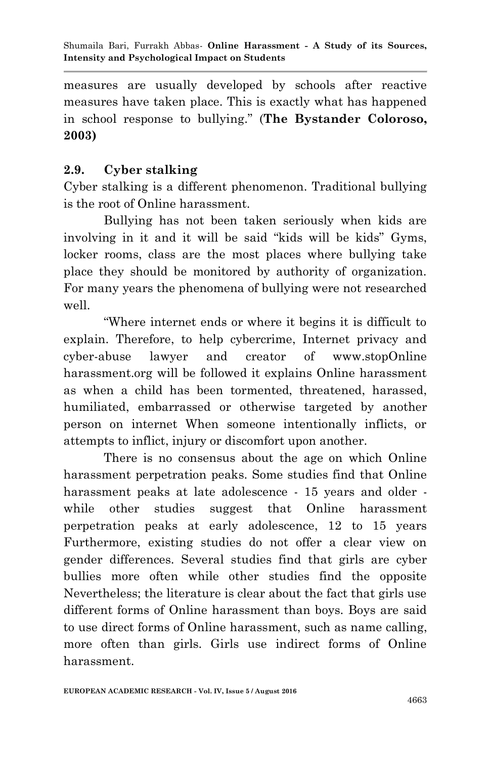measures are usually developed by schools after reactive measures have taken place. This is exactly what has happened in school response to bullying." (**The Bystander Coloroso, 2003)**

## **2.9. Cyber stalking**

Cyber stalking is a different phenomenon. Traditional bullying is the root of Online harassment.

Bullying has not been taken seriously when kids are involving in it and it will be said "kids will be kids" Gyms, locker rooms, class are the most places where bullying take place they should be monitored by authority of organization. For many years the phenomena of bullying were not researched well.

"Where internet ends or where it begins it is difficult to explain. Therefore, to help cybercrime, Internet privacy and cyber-abuse lawyer and creator of www.stopOnline harassment.org will be followed it explains Online harassment as when a child has been tormented, threatened, harassed, humiliated, embarrassed or otherwise targeted by another person on internet When someone intentionally inflicts, or attempts to inflict, injury or discomfort upon another.

There is no consensus about the age on which Online harassment perpetration peaks. Some studies find that Online harassment peaks at late adolescence - 15 years and older while other studies suggest that Online harassment perpetration peaks at early adolescence, 12 to 15 years Furthermore, existing studies do not offer a clear view on gender differences. Several studies find that girls are cyber bullies more often while other studies find the opposite Nevertheless; the literature is clear about the fact that girls use different forms of Online harassment than boys. Boys are said to use direct forms of Online harassment, such as name calling, more often than girls. Girls use indirect forms of Online harassment.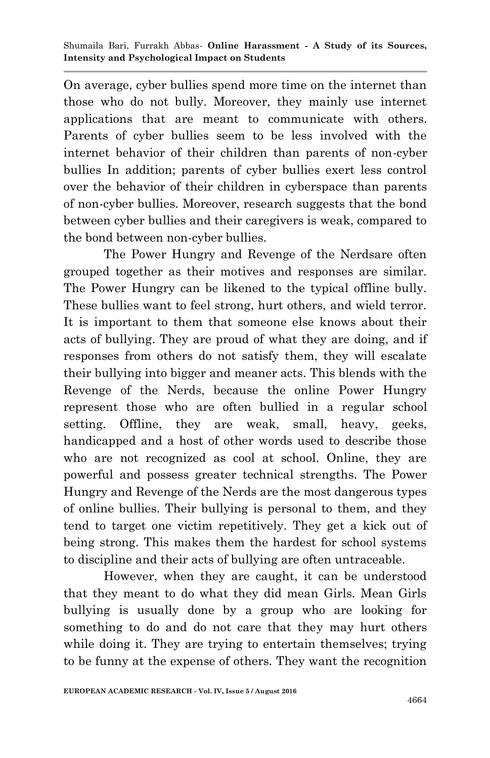On average, cyber bullies spend more time on the internet than those who do not bully. Moreover, they mainly use internet applications that are meant to communicate with others. Parents of cyber bullies seem to be less involved with the internet behavior of their children than parents of non-cyber bullies In addition; parents of cyber bullies exert less control over the behavior of their children in cyberspace than parents of non-cyber bullies. Moreover, research suggests that the bond between cyber bullies and their caregivers is weak, compared to the bond between non-cyber bullies.

The Power Hungry and Revenge of the Nerdsare often grouped together as their motives and responses are similar. The Power Hungry can be likened to the typical offline bully. These bullies want to feel strong, hurt others, and wield terror. It is important to them that someone else knows about their acts of bullying. They are proud of what they are doing, and if responses from others do not satisfy them, they will escalate their bullying into bigger and meaner acts. This blends with the Revenge of the Nerds, because the online Power Hungry represent those who are often bullied in a regular school setting. Offline, they are weak, small, heavy, geeks, handicapped and a host of other words used to describe those who are not recognized as cool at school. Online, they are powerful and possess greater technical strengths. The Power Hungry and Revenge of the Nerds are the most dangerous types of online bullies. Their bullying is personal to them, and they tend to target one victim repetitively. They get a kick out of being strong. This makes them the hardest for school systems to discipline and their acts of bullying are often untraceable.

However, when they are caught, it can be understood that they meant to do what they did mean Girls. Mean Girls bullying is usually done by a group who are looking for something to do and do not care that they may hurt others while doing it. They are trying to entertain themselves; trying to be funny at the expense of others. They want the recognition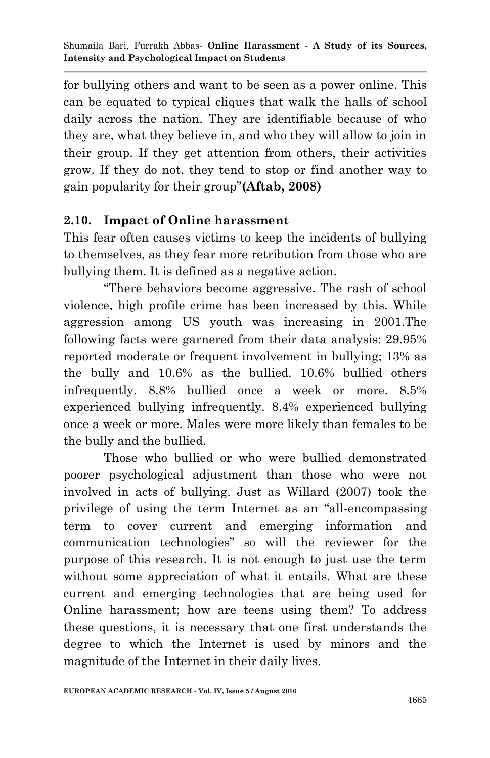for bullying others and want to be seen as a power online. This can be equated to typical cliques that walk the halls of school daily across the nation. They are identifiable because of who they are, what they believe in, and who they will allow to join in their group. If they get attention from others, their activities grow. If they do not, they tend to stop or find another way to gain popularity for their group"**(Aftab, 2008)**

# **2.10. Impact of Online harassment**

This fear often causes victims to keep the incidents of bullying to themselves, as they fear more retribution from those who are bullying them. It is defined as a negative action.

"There behaviors become aggressive. The rash of school violence, high profile crime has been increased by this. While aggression among US youth was increasing in 2001.The following facts were garnered from their data analysis: 29.95% reported moderate or frequent involvement in bullying; 13% as the bully and 10.6% as the bullied. 10.6% bullied others infrequently. 8.8% bullied once a week or more. 8.5% experienced bullying infrequently. 8.4% experienced bullying once a week or more. Males were more likely than females to be the bully and the bullied.

Those who bullied or who were bullied demonstrated poorer psychological adjustment than those who were not involved in acts of bullying. Just as Willard (2007) took the privilege of using the term Internet as an "all-encompassing term to cover current and emerging information and communication technologies" so will the reviewer for the purpose of this research. It is not enough to just use the term without some appreciation of what it entails. What are these current and emerging technologies that are being used for Online harassment; how are teens using them? To address these questions, it is necessary that one first understands the degree to which the Internet is used by minors and the magnitude of the Internet in their daily lives.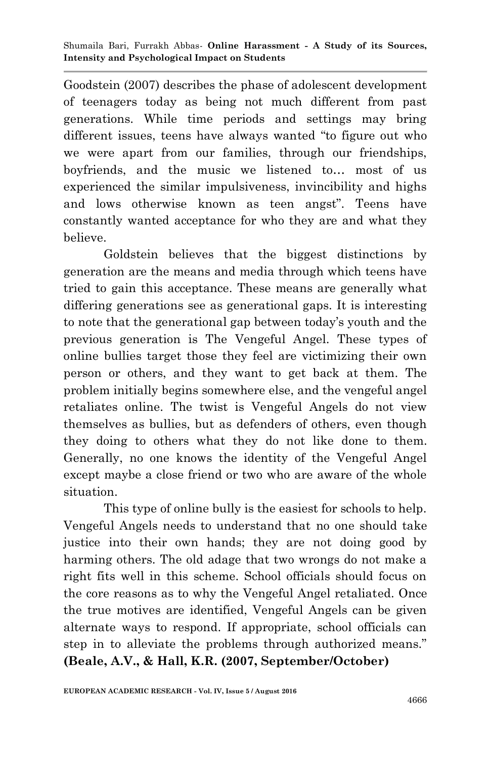Goodstein (2007) describes the phase of adolescent development of teenagers today as being not much different from past generations. While time periods and settings may bring different issues, teens have always wanted "to figure out who we were apart from our families, through our friendships, boyfriends, and the music we listened to… most of us experienced the similar impulsiveness, invincibility and highs and lows otherwise known as teen angst". Teens have constantly wanted acceptance for who they are and what they believe.

Goldstein believes that the biggest distinctions by generation are the means and media through which teens have tried to gain this acceptance. These means are generally what differing generations see as generational gaps. It is interesting to note that the generational gap between today"s youth and the previous generation is The Vengeful Angel. These types of online bullies target those they feel are victimizing their own person or others, and they want to get back at them. The problem initially begins somewhere else, and the vengeful angel retaliates online. The twist is Vengeful Angels do not view themselves as bullies, but as defenders of others, even though they doing to others what they do not like done to them. Generally, no one knows the identity of the Vengeful Angel except maybe a close friend or two who are aware of the whole situation.

This type of online bully is the easiest for schools to help. Vengeful Angels needs to understand that no one should take justice into their own hands; they are not doing good by harming others. The old adage that two wrongs do not make a right fits well in this scheme. School officials should focus on the core reasons as to why the Vengeful Angel retaliated. Once the true motives are identified, Vengeful Angels can be given alternate ways to respond. If appropriate, school officials can step in to alleviate the problems through authorized means." **(Beale, A.V., & Hall, K.R. (2007, September/October)**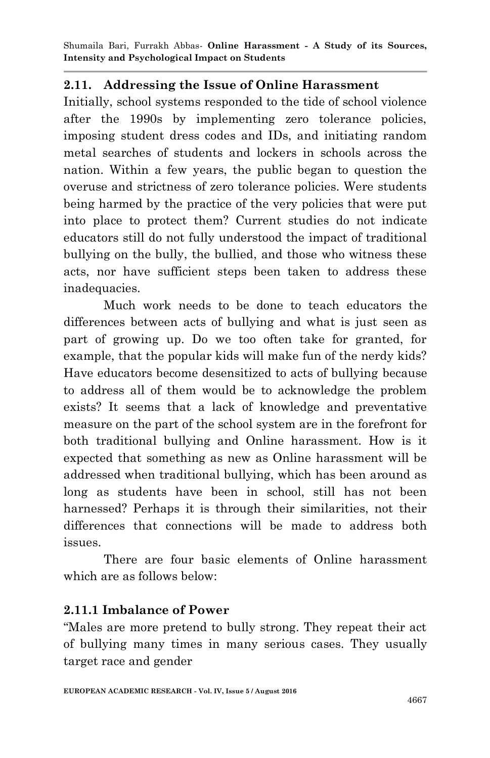### **2.11. Addressing the Issue of Online Harassment**

Initially, school systems responded to the tide of school violence after the 1990s by implementing zero tolerance policies, imposing student dress codes and IDs, and initiating random metal searches of students and lockers in schools across the nation. Within a few years, the public began to question the overuse and strictness of zero tolerance policies. Were students being harmed by the practice of the very policies that were put into place to protect them? Current studies do not indicate educators still do not fully understood the impact of traditional bullying on the bully, the bullied, and those who witness these acts, nor have sufficient steps been taken to address these inadequacies.

Much work needs to be done to teach educators the differences between acts of bullying and what is just seen as part of growing up. Do we too often take for granted, for example, that the popular kids will make fun of the nerdy kids? Have educators become desensitized to acts of bullying because to address all of them would be to acknowledge the problem exists? It seems that a lack of knowledge and preventative measure on the part of the school system are in the forefront for both traditional bullying and Online harassment. How is it expected that something as new as Online harassment will be addressed when traditional bullying, which has been around as long as students have been in school, still has not been harnessed? Perhaps it is through their similarities, not their differences that connections will be made to address both issues.

There are four basic elements of Online harassment which are as follows below:

## **2.11.1 Imbalance of Power**

"Males are more pretend to bully strong. They repeat their act of bullying many times in many serious cases. They usually target race and gender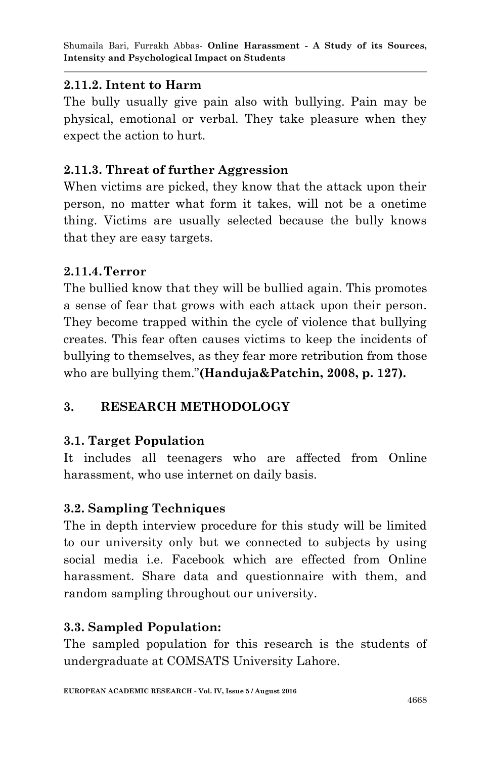### **2.11.2. Intent to Harm**

The bully usually give pain also with bullying. Pain may be physical, emotional or verbal. They take pleasure when they expect the action to hurt.

## **2.11.3. Threat of further Aggression**

When victims are picked, they know that the attack upon their person, no matter what form it takes, will not be a onetime thing. Victims are usually selected because the bully knows that they are easy targets.

### **2.11.4.Terror**

The bullied know that they will be bullied again. This promotes a sense of fear that grows with each attack upon their person. They become trapped within the cycle of violence that bullying creates. This fear often causes victims to keep the incidents of bullying to themselves, as they fear more retribution from those who are bullying them."**(Handuja&Patchin, 2008, p. 127).**

## **3. RESEARCH METHODOLOGY**

## **3.1. Target Population**

It includes all teenagers who are affected from Online harassment, who use internet on daily basis.

## **3.2. Sampling Techniques**

The in depth interview procedure for this study will be limited to our university only but we connected to subjects by using social media i.e. Facebook which are effected from Online harassment. Share data and questionnaire with them, and random sampling throughout our university.

## **3.3. Sampled Population:**

The sampled population for this research is the students of undergraduate at COMSATS University Lahore.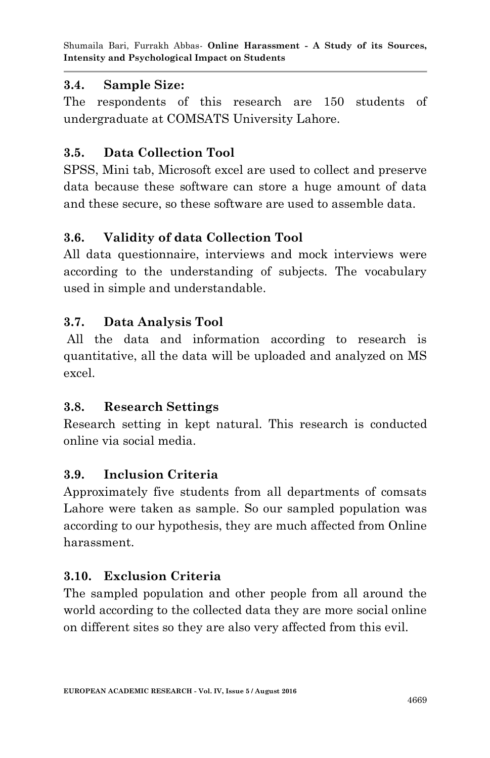## **3.4. Sample Size:**

The respondents of this research are 150 students of undergraduate at COMSATS University Lahore.

# **3.5. Data Collection Tool**

SPSS, Mini tab, Microsoft excel are used to collect and preserve data because these software can store a huge amount of data and these secure, so these software are used to assemble data.

# **3.6. Validity of data Collection Tool**

All data questionnaire, interviews and mock interviews were according to the understanding of subjects. The vocabulary used in simple and understandable.

# **3.7. Data Analysis Tool**

All the data and information according to research is quantitative, all the data will be uploaded and analyzed on MS excel.

# **3.8. Research Settings**

Research setting in kept natural. This research is conducted online via social media.

## **3.9. Inclusion Criteria**

Approximately five students from all departments of comsats Lahore were taken as sample. So our sampled population was according to our hypothesis, they are much affected from Online harassment.

# **3.10. Exclusion Criteria**

The sampled population and other people from all around the world according to the collected data they are more social online on different sites so they are also very affected from this evil.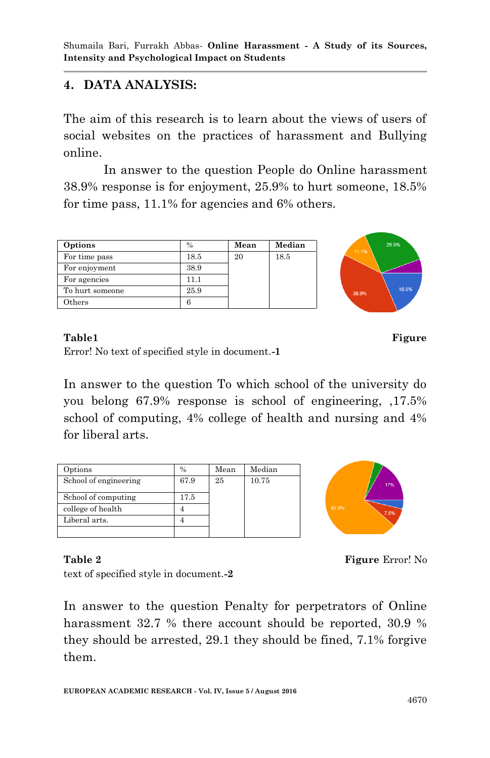### **4. DATA ANALYSIS:**

The aim of this research is to learn about the views of users of social websites on the practices of harassment and Bullying online.

In answer to the question People do Online harassment 38.9% response is for enjoyment, 25.9% to hurt someone, 18.5% for time pass, 11.1% for agencies and 6% others.

| Options         | $\frac{0}{0}$ | Mean | Median |
|-----------------|---------------|------|--------|
| For time pass   | 18.5          | 20   | 18.5   |
| For enjoyment   | 38.9          |      |        |
| For agencies    | 11.1          |      |        |
| To hurt someone | 25.9          |      |        |
| $_{\rm)thers}$  |               |      |        |



#### **Table1 Figure**

Error! No text of specified style in document.**-1**

In answer to the question To which school of the university do you belong 67.9% response is school of engineering, ,17.5% school of computing, 4% college of health and nursing and 4% for liberal arts.

| Options               | $\%$ | Mean | Median |
|-----------------------|------|------|--------|
| School of engineering | 67.9 | 25   | 10.75  |
| School of computing   | 17.5 |      |        |
| college of health     |      |      |        |
| Liberal arts.         |      |      |        |
|                       |      |      |        |



#### **Table 2 Properties All 2 Figure Error!** No

text of specified style in document.**-2**

In answer to the question Penalty for perpetrators of Online harassment 32.7 % there account should be reported, 30.9 % they should be arrested, 29.1 they should be fined, 7.1% forgive them.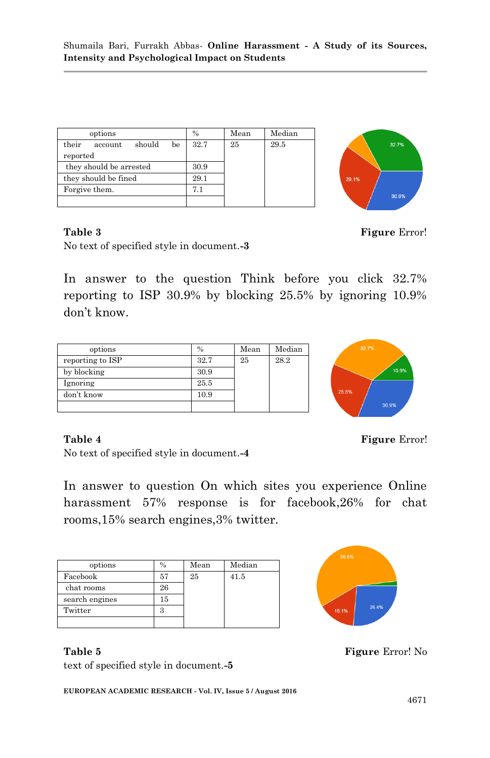| options                          | $\frac{0}{0}$ | Mean | Median |
|----------------------------------|---------------|------|--------|
| their<br>should<br>be<br>account | 32.7          | 25   | 29.5   |
| reported                         |               |      |        |
| they should be arrested          | 30.9          |      |        |
| they should be fined             | 29.1          |      |        |
| Forgive them.                    | 7.1           |      |        |
|                                  |               |      |        |



**Table 3 Figure Error!** 

No text of specified style in document.**-3**

In answer to the question Think before you click 32.7% reporting to ISP 30.9% by blocking 25.5% by ignoring 10.9% don"t know.

| options          | $\frac{0}{0}$ | Mean | Median |
|------------------|---------------|------|--------|
| reporting to ISP | 32.7          | 25   | 28.2   |
| by blocking      | 30.9          |      |        |
| Ignoring         | 25.5          |      |        |
| don't know       | 10.9          |      |        |
|                  |               |      |        |



**Table 4** Figure Error!

No text of specified style in document.**-4**

In answer to question On which sites you experience Online harassment 57% response is for facebook,26% for chat rooms,15% search engines,3% twitter.

| options        | $\frac{0}{0}$ | Mean | Median |
|----------------|---------------|------|--------|
| Facebook       | 57            | 25   | 41.5   |
| chat rooms     | 26            |      |        |
| search engines | 15            |      |        |
| Twitter        |               |      |        |
|                |               |      |        |



text of specified style in document.**-5**

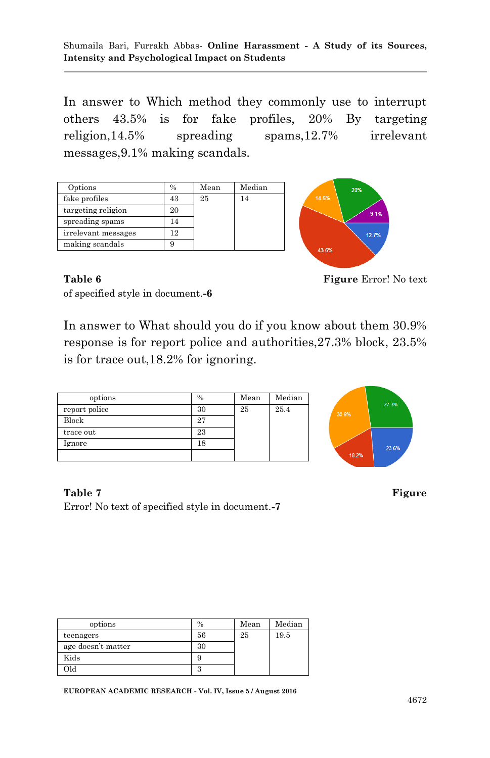In answer to Which method they commonly use to interrupt others 43.5% is for fake profiles, 20% By targeting religion,14.5% spreading spams,12.7% irrelevant messages,9.1% making scandals.

| Options             | $\frac{0}{0}$ | Mean | Median |
|---------------------|---------------|------|--------|
| fake profiles       | 43            | 25   | 14     |
| targeting religion  | 20            |      |        |
| spreading spams     | 14            |      |        |
| irrelevant messages | 12            |      |        |
| making scandals     |               |      |        |



of specified style in document.**-6**

Table 6 **Figure Error!** No text

In answer to What should you do if you know about them 30.9% response is for report police and authorities,27.3% block, 23.5% is for trace out,18.2% for ignoring.

| options       | $\%$ | Mean | Median |
|---------------|------|------|--------|
| report police | 30   | 25   | 25.4   |
| Block         | 27   |      |        |
| trace out     | 23   |      |        |
| Ignore        | 18   |      |        |
|               |      |      |        |



**Table 7** Figure Error! No text of specified style in document.**-7**

| options            | $\frac{0}{0}$ | Mean | Median |
|--------------------|---------------|------|--------|
| teenagers          | 56            | 25   | 19.5   |
| age doesn't matter | 30            |      |        |
| Kids               |               |      |        |
| ЫC                 | O             |      |        |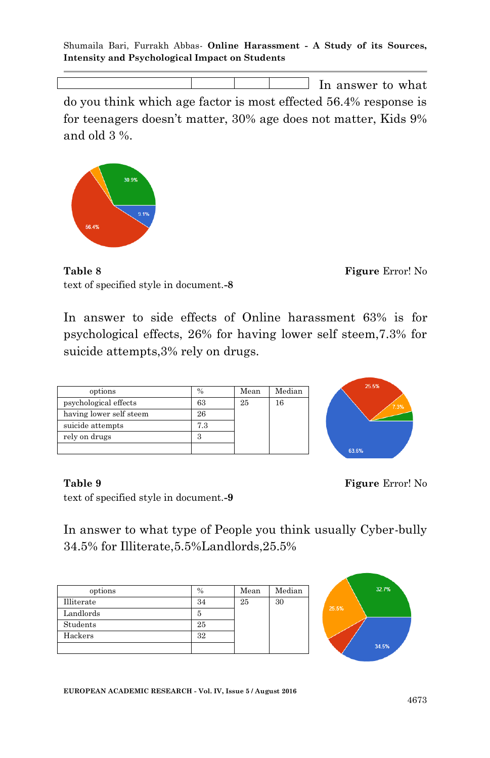In answer to what

do you think which age factor is most effected 56.4% response is for teenagers doesn"t matter, 30% age does not matter, Kids 9% and old 3 %.



**Table 8** Figure Error! No text of specified style in document.**-8**

In answer to side effects of Online harassment 63% is for psychological effects, 26% for having lower self steem,7.3% for suicide attempts,3% rely on drugs.

| options                 | $\frac{0}{0}$ | Mean | Median |
|-------------------------|---------------|------|--------|
| psychological effects   | 63            | 25   | 16     |
| having lower self steem | 26            |      |        |
| suicide attempts        | 7.3           |      |        |
| rely on drugs           |               |      |        |
|                         |               |      |        |



**Table 9 Figure** Error! No

text of specified style in document.**-9**

In answer to what type of People you think usually Cyber-bully 34.5% for Illiterate,5.5%Landlords,25.5%

| options    | %  | Mean | Median |
|------------|----|------|--------|
| Illiterate | 34 | 25   | 30     |
| Landlords  |    |      |        |
| Students   | 25 |      |        |
| Hackers    | 32 |      |        |
|            |    |      |        |

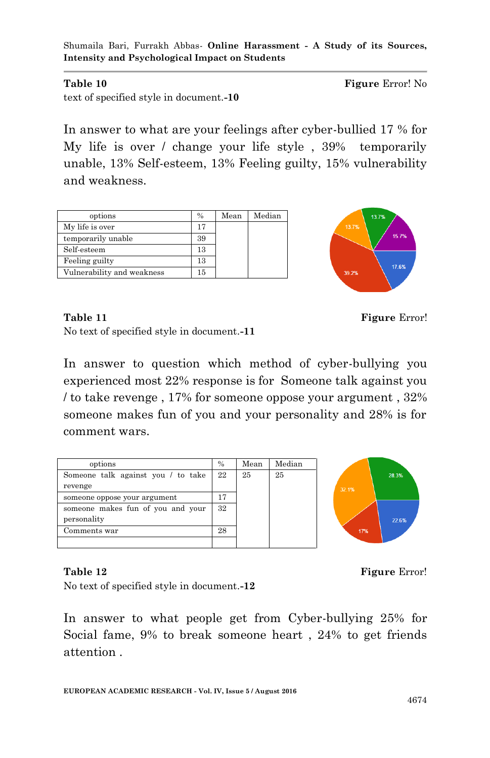**Table 10 Figure Error!** No

text of specified style in document.**-10**

In answer to what are your feelings after cyber-bullied 17 % for My life is over / change your life style , 39% temporarily unable, 13% Self-esteem, 13% Feeling guilty, 15% vulnerability and weakness.

| options                    | $\frac{0}{0}$ | Mean | Median |
|----------------------------|---------------|------|--------|
| My life is over            | 17            |      |        |
| temporarily unable         | 39            |      |        |
| Self-esteem                | 13            |      |        |
| Feeling guilty             | 13            |      |        |
| Vulnerability and weakness | 15            |      |        |



**Table 11** Figure Error!

No text of specified style in document.**-11**

In answer to question which method of cyber-bullying you experienced most 22% response is for Someone talk against you / to take revenge , 17% for someone oppose your argument , 32% someone makes fun of you and your personality and 28% is for comment wars.

| options                            | $\%$ | Mean | Median |
|------------------------------------|------|------|--------|
| Someone talk against you / to take | 22   | 25   | 25     |
| revenge                            |      |      |        |
| someone oppose your argument       | 17   |      |        |
| someone makes fun of you and your  | 32   |      |        |
| personality                        |      |      |        |
| Comments war                       | 28   |      |        |
|                                    |      |      |        |



**Table 12 Figure** Error!

No text of specified style in document.**-12**

In answer to what people get from Cyber-bullying 25% for Social fame, 9% to break someone heart , 24% to get friends attention .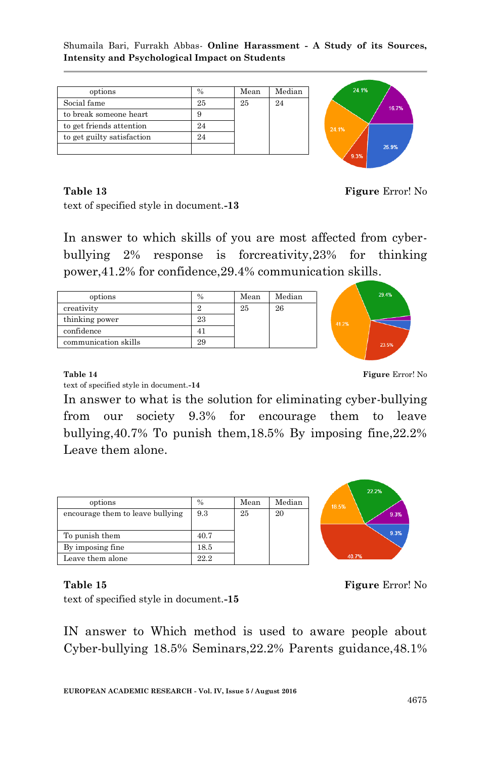| options                    | $\frac{0}{0}$ | Mean | Median |
|----------------------------|---------------|------|--------|
| Social fame                | 25            | 25   | 2.4    |
| to break someone heart     |               |      |        |
| to get friends attention   | 9.4           |      |        |
| to get guilty satisfaction | 24            |      |        |
|                            |               |      |        |



**Table 13** Figure Error! No

text of specified style in document.**-13**

In answer to which skills of you are most affected from cyberbullying 2% response is forcreativity,23% for thinking power,41.2% for confidence,29.4% communication skills.

| options              | $\frac{0}{0}$ | Mean | Median |
|----------------------|---------------|------|--------|
| creativity           |               | 25   | 26     |
| thinking power       | 23            |      |        |
| confidence           |               |      |        |
| communication skills | 29            |      |        |



text of specified style in document.**-14**

**Table 14 Figure Error!** No.

In answer to what is the solution for eliminating cyber-bullying from our society 9.3% for encourage them to leave bullying,40.7% To punish them,18.5% By imposing fine,22.2% Leave them alone.

| options                          | %    | Mean | Median |
|----------------------------------|------|------|--------|
| encourage them to leave bullying | 9.3  | 25   | 20     |
|                                  |      |      |        |
| To punish them                   | 40.7 |      |        |
| By imposing fine                 | 18.5 |      |        |
| Leave them alone                 | 22.2 |      |        |



**Table 15** Figure Error! No

text of specified style in document.**-15**

IN answer to Which method is used to aware people about Cyber-bullying 18.5% Seminars,22.2% Parents guidance,48.1%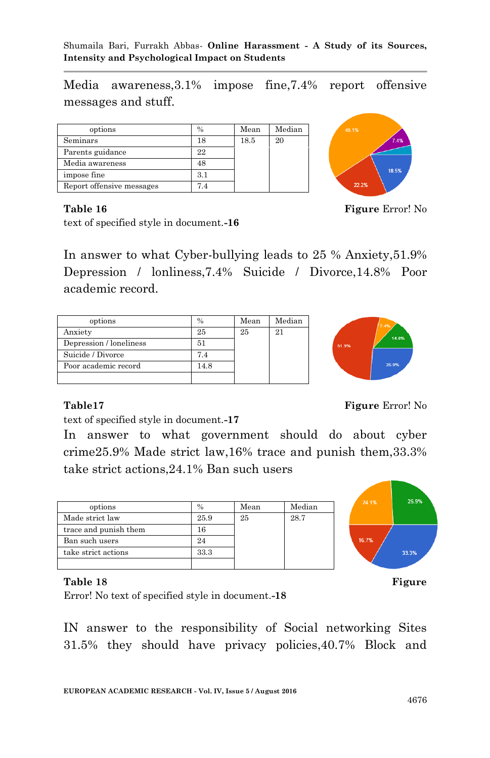Media awareness,3.1% impose fine,7.4% report offensive messages and stuff.

| options                   | $\frac{0}{0}$ | Mean | Median |
|---------------------------|---------------|------|--------|
| Seminars                  | 18            | 18.5 | 20     |
| Parents guidance          | 22            |      |        |
| Media awareness           | 48            |      |        |
| impose fine               | 3.1           |      |        |
| Report offensive messages |               |      |        |



#### **Table 16** Figure Error! No. **Figure Error!** No.

text of specified style in document.**-16**

In answer to what Cyber-bullying leads to 25 % Anxiety,51.9% Depression / lonliness,7.4% Suicide / Divorce,14.8% Poor academic record.

| options                 | $\frac{0}{0}$ | Mean | Median |
|-------------------------|---------------|------|--------|
| Anxiety                 | 25            | 25   | 21     |
| Depression / loneliness | 51            |      |        |
| Suicide / Divorce       | 7.4           |      |        |
| Poor academic record    |               |      |        |
|                         |               |      |        |



**Table17 Figure Error!** No. **Figure Except Except Figure Except Except**  $\mathbf{F}$ 

text of specified style in document.**-17**

In answer to what government should do about cyber crime25.9% Made strict law,16% trace and punish them,33.3% take strict actions,24.1% Ban such users

| options               | $\%$ | Mean | Median |
|-----------------------|------|------|--------|
| Made strict law       | 25.9 | 25   | 28.7   |
| trace and punish them | 16   |      |        |
| Ban such users        |      |      |        |
| take strict actions   | 33.3 |      |        |
|                       |      |      |        |



Error! No text of specified style in document.**-18**

IN answer to the responsibility of Social networking Sites 31.5% they should have privacy policies,40.7% Block and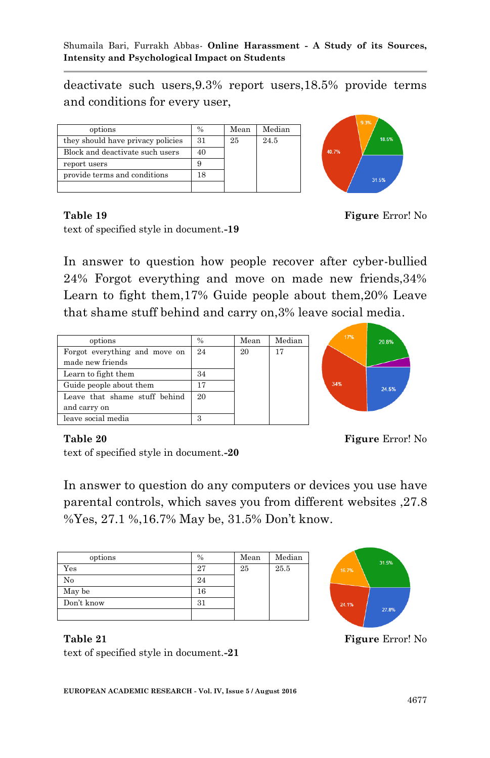deactivate such users,9.3% report users,18.5% provide terms and conditions for every user,

| options                           | $\frac{0}{0}$ | Mean | Median |
|-----------------------------------|---------------|------|--------|
| they should have privacy policies | 31            | 25   | 24.5   |
| Block and deactivate such users   |               |      |        |
| report users                      |               |      |        |
| provide terms and conditions      |               |      |        |
|                                   |               |      |        |



**Table 19** Figure Error! No

text of specified style in document.**-19**

In answer to question how people recover after cyber-bullied 24% Forgot everything and move on made new friends,34% Learn to fight them,17% Guide people about them,20% Leave that shame stuff behind and carry on,3% leave social media.

| options                       | $\frac{0}{0}$ | Mean | Median |
|-------------------------------|---------------|------|--------|
| Forgot everything and move on | 24            | 20   | 17     |
| made new friends              |               |      |        |
| Learn to fight them           | 34            |      |        |
| Guide people about them       | 17            |      |        |
| Leave that shame stuff behind | 20            |      |        |
| and carry on                  |               |      |        |
| leave social media            | З             |      |        |



#### **Table 20 Figure Error!** No.

text of specified style in document.**-20**

In answer to question do any computers or devices you use have parental controls, which saves you from different websites ,27.8 %Yes, 27.1 %,16.7% May be, 31.5% Don"t know.

| options    | %           | Mean | Median |
|------------|-------------|------|--------|
| Yes        | 27          | 25   | 25.5   |
| No         | 24          |      |        |
| May be     | $^{\rm 16}$ |      |        |
| Don't know |             |      |        |
|            |             |      |        |



**Table** 21 **Figure** Error! No

text of specified style in document.**-21**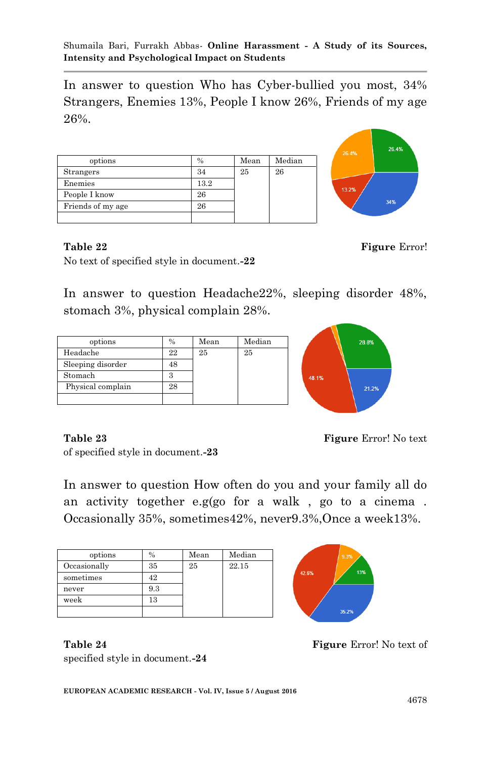In answer to question Who has Cyber-bullied you most, 34% Strangers, Enemies 13%, People I know 26%, Friends of my age 26%.

| options           | $\%$ | Mean | Median |
|-------------------|------|------|--------|
| Strangers         | 34   | 25   | 26     |
| Enemies           | 13.2 |      |        |
| People I know     | 26   |      |        |
| Friends of my age | 26   |      |        |
|                   |      |      |        |



No text of specified style in document.**-22**

In answer to question Headache22%, sleeping disorder 48%, stomach 3%, physical complain 28%.

| options           | $\frac{0}{0}$ | Mean | Median |
|-------------------|---------------|------|--------|
| Headache          | 22            | 25   | 25     |
| Sleeping disorder | 48            |      |        |
| Stomach           |               |      |        |
| Physical complain | 28            |      |        |
|                   |               |      |        |



**Table 23 Figure** Error! No text

of specified style in document.**-23**

In answer to question How often do you and your family all do an activity together e.g(go for a walk , go to a cinema . Occasionally 35%, sometimes42%, never9.3%,Once a week13%.

| options      | $\%$ | Mean | Median |
|--------------|------|------|--------|
| Occasionally | 35   | 25   | 22.15  |
| sometimes    | 42   |      |        |
| never        | 9.3  |      |        |
| week         | 13   |      |        |
|              |      |      |        |



specified style in document.**-24**



**Table** 22 **Figure Error!**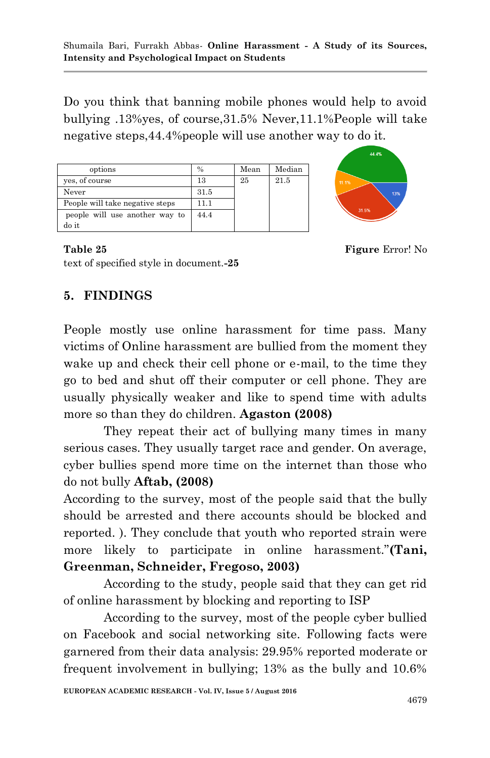Do you think that banning mobile phones would help to avoid bullying .13%yes, of course,31.5% Never,11.1%People will take negative steps,44.4%people will use another way to do it.

| options                         | $\frac{0}{0}$ | Mean | Median |
|---------------------------------|---------------|------|--------|
| yes, of course                  | 13            | 25   | 21.5   |
| Never                           | 31.5          |      |        |
| People will take negative steps | 11 1          |      |        |
| people will use another way to  | 44.4          |      |        |
| do it                           |               |      |        |



#### **Table 25** Figure Error! No

text of specified style in document.**-25**

## **5. FINDINGS**

People mostly use online harassment for time pass. Many victims of Online harassment are bullied from the moment they wake up and check their cell phone or e-mail, to the time they go to bed and shut off their computer or cell phone. They are usually physically weaker and like to spend time with adults more so than they do children. **Agaston (2008)**

They repeat their act of bullying many times in many serious cases. They usually target race and gender. On average, cyber bullies spend more time on the internet than those who do not bully **Aftab, (2008)** 

According to the survey, most of the people said that the bully should be arrested and there accounts should be blocked and reported. ). They conclude that youth who reported strain were more likely to participate in online harassment."**(Tani, Greenman, Schneider, Fregoso, 2003)**

According to the study, people said that they can get rid of online harassment by blocking and reporting to ISP

According to the survey, most of the people cyber bullied on Facebook and social networking site. Following facts were garnered from their data analysis: 29.95% reported moderate or frequent involvement in bullying; 13% as the bully and 10.6%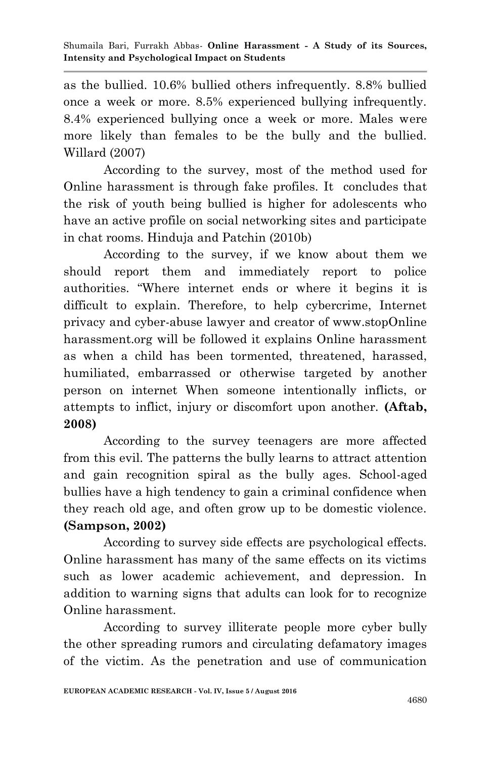as the bullied. 10.6% bullied others infrequently. 8.8% bullied once a week or more. 8.5% experienced bullying infrequently. 8.4% experienced bullying once a week or more. Males were more likely than females to be the bully and the bullied. Willard (2007)

According to the survey, most of the method used for Online harassment is through fake profiles. It concludes that the risk of youth being bullied is higher for adolescents who have an active profile on social networking sites and participate in chat rooms. Hinduja and Patchin (2010b)

According to the survey, if we know about them we should report them and immediately report to police authorities. "Where internet ends or where it begins it is difficult to explain. Therefore, to help cybercrime, Internet privacy and cyber-abuse lawyer and creator of www.stopOnline harassment.org will be followed it explains Online harassment as when a child has been tormented, threatened, harassed, humiliated, embarrassed or otherwise targeted by another person on internet When someone intentionally inflicts, or attempts to inflict, injury or discomfort upon another. **(Aftab, 2008)**

According to the survey teenagers are more affected from this evil. The patterns the bully learns to attract attention and gain recognition spiral as the bully ages. School-aged bullies have a high tendency to gain a criminal confidence when they reach old age, and often grow up to be domestic violence. **(Sampson, 2002)**

According to survey side effects are psychological effects. Online harassment has many of the same effects on its victims such as lower academic achievement, and depression. In addition to warning signs that adults can look for to recognize Online harassment.

According to survey illiterate people more cyber bully the other spreading rumors and circulating defamatory images of the victim. As the penetration and use of communication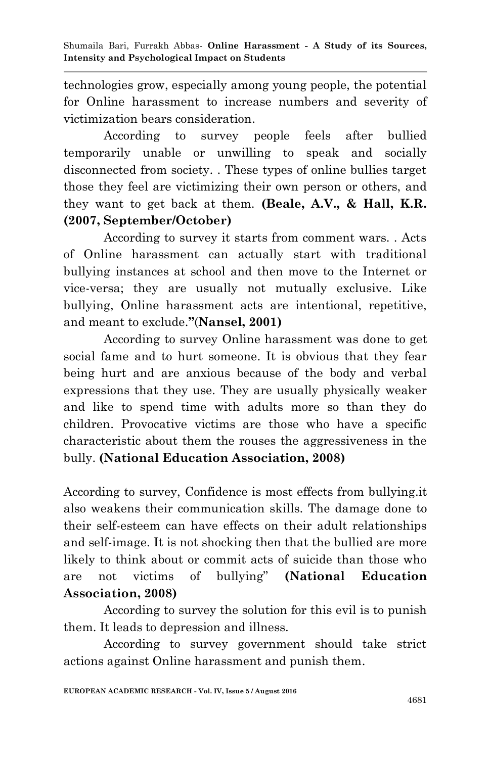technologies grow, especially among young people, the potential for Online harassment to increase numbers and severity of victimization bears consideration.

According to survey people feels after bullied temporarily unable or unwilling to speak and socially disconnected from society. . These types of online bullies target those they feel are victimizing their own person or others, and they want to get back at them. **(Beale, A.V., & Hall, K.R. (2007, September/October)**

According to survey it starts from comment wars. . Acts of Online harassment can actually start with traditional bullying instances at school and then move to the Internet or vice-versa; they are usually not mutually exclusive. Like bullying, Online harassment acts are intentional, repetitive, and meant to exclude.**"**(**Nansel, 2001)**

According to survey Online harassment was done to get social fame and to hurt someone. It is obvious that they fear being hurt and are anxious because of the body and verbal expressions that they use. They are usually physically weaker and like to spend time with adults more so than they do children. Provocative victims are those who have a specific characteristic about them the rouses the aggressiveness in the bully. **(National Education Association, 2008)**

According to survey, Confidence is most effects from bullying.it also weakens their communication skills. The damage done to their self-esteem can have effects on their adult relationships and self-image. It is not shocking then that the bullied are more likely to think about or commit acts of suicide than those who are not victims of bullying" **(National Education Association, 2008)**

According to survey the solution for this evil is to punish them. It leads to depression and illness.

According to survey government should take strict actions against Online harassment and punish them.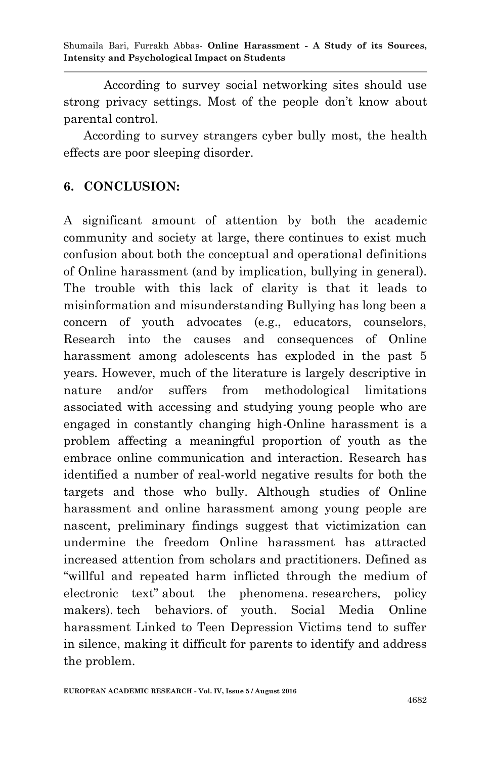According to survey social networking sites should use strong privacy settings. Most of the people don"t know about parental control.

According to survey strangers cyber bully most, the health effects are poor sleeping disorder.

### **6. CONCLUSION:**

A significant amount of attention by both the academic community and society at large, there continues to exist much confusion about both the conceptual and operational definitions of Online harassment (and by implication, bullying in general). The trouble with this lack of clarity is that it leads to misinformation and misunderstanding Bullying has long been a concern of youth advocates (e.g., educators, counselors, Research into the causes and consequences of Online harassment among adolescents has exploded in the past 5 years. However, much of the literature is largely descriptive in nature and/or suffers from methodological limitations associated with accessing and studying young people who are engaged in constantly changing high-Online harassment is a problem affecting a meaningful proportion of youth as the embrace online communication and interaction. Research has identified a number of real-world negative results for both the targets and those who bully. Although studies of Online harassment and online harassment among young people are nascent, preliminary findings suggest that victimization can undermine the freedom Online harassment has attracted increased attention from scholars and practitioners. Defined as "willful and repeated harm inflicted through the medium of electronic text" about the phenomena. researchers, policy makers). tech behaviors. of youth. Social Media Online harassment Linked to Teen Depression Victims tend to suffer in silence, making it difficult for parents to identify and address the problem.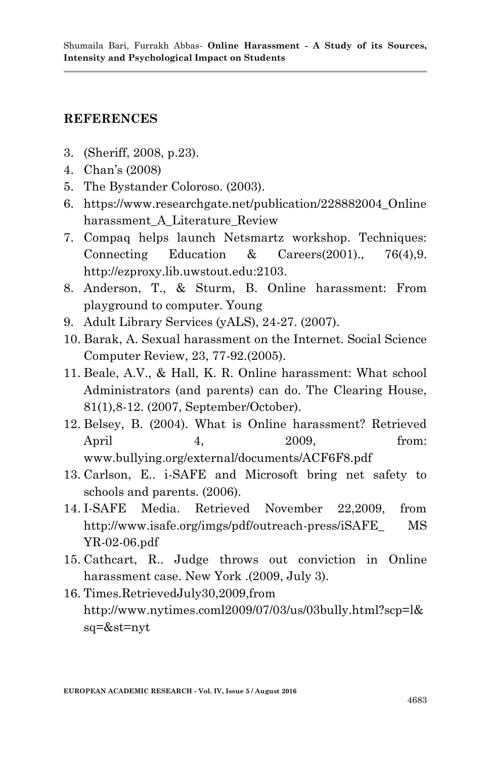### **REFERENCES**

- 3. (Sheriff, 2008, p.23).
- 4. Chan"s (2008)
- 5. The Bystander Coloroso. (2003).
- 6. https://www.researchgate.net/publication/228882004\_Online harassment\_A\_Literature\_Review
- 7. Compaq helps launch Netsmartz workshop. Techniques: Connecting Education & Careers(2001)., 76(4).9. http://ezproxy.lib.uwstout.edu:2103.
- 8. Anderson, T., & Sturm, B. Online harassment: From playground to computer. Young
- 9. Adult Library Services (yALS), 24-27. (2007).
- 10. Barak, A. Sexual harassment on the Internet. Social Science Computer Review, 23, 77-92.(2005).
- 11. Beale, A.V., & Hall, K. R. Online harassment: What school Administrators (and parents) can do. The Clearing House, 81(1),8-12. (2007, September/October).
- 12. Belsey, B. (2004). What is Online harassment? Retrieved April 4, 2009, from: www.bullying.org/external/documents/ACF6F8.pdf
- 13. Carlson, E.. i-SAFE and Microsoft bring net safety to schools and parents. (2006).
- 14. I-SAFE Media. Retrieved November 22,2009, from http://www.isafe.org/imgs/pdf/outreach-press/iSAFE\_ MS YR-02-06.pdf
- 15. Cathcart, R.. Judge throws out conviction in Online harassment case. New York .(2009, July 3).
- 16. Times.RetrievedJuly30,2009,from http://www.nytimes.coml2009/07/03/us/03bully.html?scp=l& sq=&st=nyt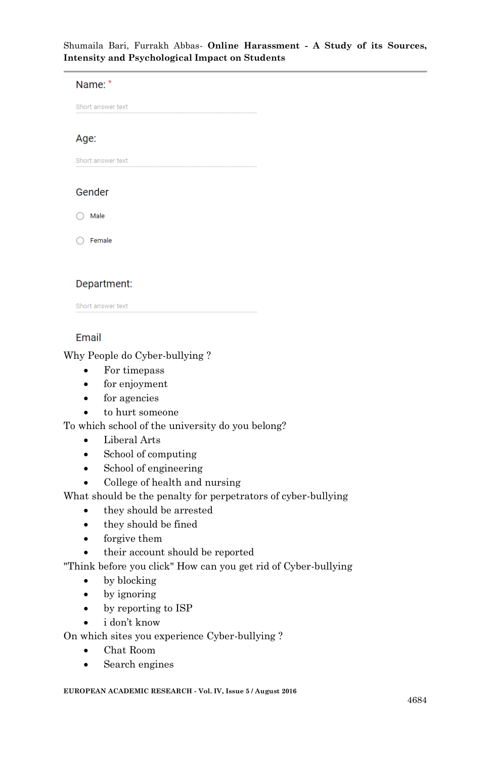Name: \* Short answer text Age: Short answer text Gender  $\bigcap$  Male  $\bigcirc$  Female

#### Department:

Short answer text

#### Email

Why People do Cyber-bullying ?

- For timepass
- for enjoyment
- for agencies
- to hurt someone

To which school of the university do you belong?

- Liberal Arts
- School of computing
- School of engineering
- College of health and nursing

What should be the penalty for perpetrators of cyber-bullying

- they should be arrested
- they should be fined
- forgive them

their account should be reported

"Think before you click" How can you get rid of Cyber-bullying

- by blocking
- by ignoring
- by reporting to ISP
- i don"t know

On which sites you experience Cyber-bullying ?

- Chat Room
- Search engines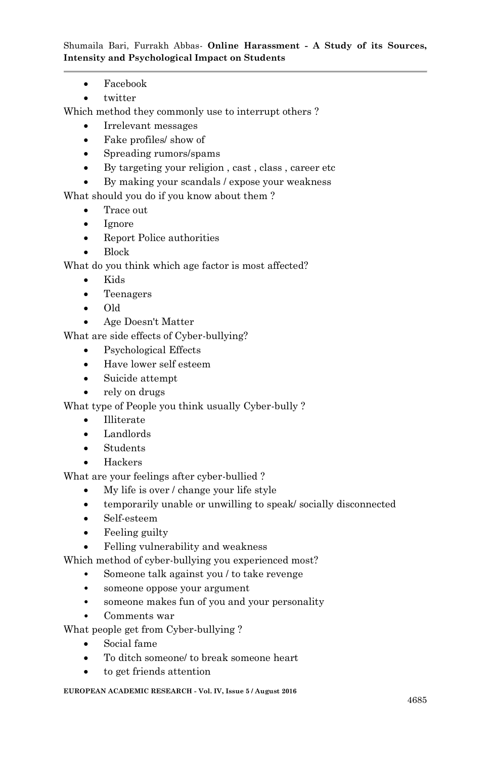- Facebook
- twitter

Which method they commonly use to interrupt others ?

- Irrelevant messages
- Fake profiles/ show of
- Spreading rumors/spams
- By targeting your religion , cast , class , career etc
- By making your scandals / expose your weakness

What should you do if you know about them ?

- Trace out
- Ignore
- Report Police authorities
- Block

What do you think which age factor is most affected?

- Kids
- Teenagers
- Old
- Age Doesn't Matter

What are side effects of Cyber-bullying?

- Psychological Effects
- Have lower self esteem
- Suicide attempt
- rely on drugs

What type of People you think usually Cyber-bully ?

- Illiterate
- Landlords
- Students
- Hackers

What are your feelings after cyber-bullied ?

- My life is over / change your life style
- temporarily unable or unwilling to speak/ socially disconnected
- Self-esteem
- Feeling guilty
- Felling vulnerability and weakness

Which method of cyber-bullying you experienced most?

- Someone talk against you / to take revenge
- someone oppose your argument
- someone makes fun of you and your personality
- Comments war
- What people get from Cyber-bullying ?
	- Social fame
	- To ditch someone/ to break someone heart
	- to get friends attention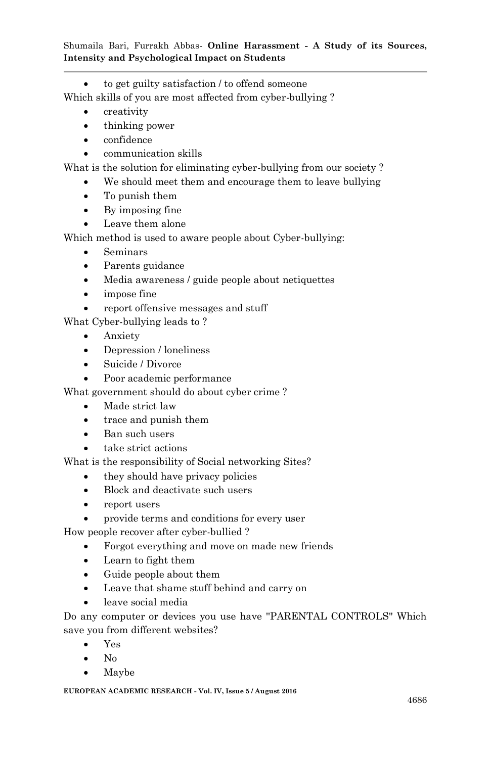to get guilty satisfaction / to offend someone

Which skills of you are most affected from cyber-bullying ?

- creativity
- thinking power
- confidence
- communication skills

What is the solution for eliminating cyber-bullying from our society ?

- We should meet them and encourage them to leave bullying
- To punish them
- By imposing fine
- Leave them alone

Which method is used to aware people about Cyber-bullying:

- Seminars
- Parents guidance
- Media awareness / guide people about netiquettes
- impose fine
- report offensive messages and stuff

What Cyber-bullying leads to ?

- Anxiety
- Depression / loneliness
- Suicide / Divorce
- Poor academic performance

What government should do about cyber crime ?

- Made strict law
- trace and punish them
- Ban such users
- take strict actions

What is the responsibility of Social networking Sites?

- they should have privacy policies
- Block and deactivate such users
- report users
- provide terms and conditions for every user

How people recover after cyber-bullied ?

- Forgot everything and move on made new friends
- Learn to fight them
- Guide people about them
- Leave that shame stuff behind and carry on
- leave social media

Do any computer or devices you use have ''PARENTAL CONTROLS'' Which save you from different websites?

- Yes
- $\bullet$  No
- Maybe